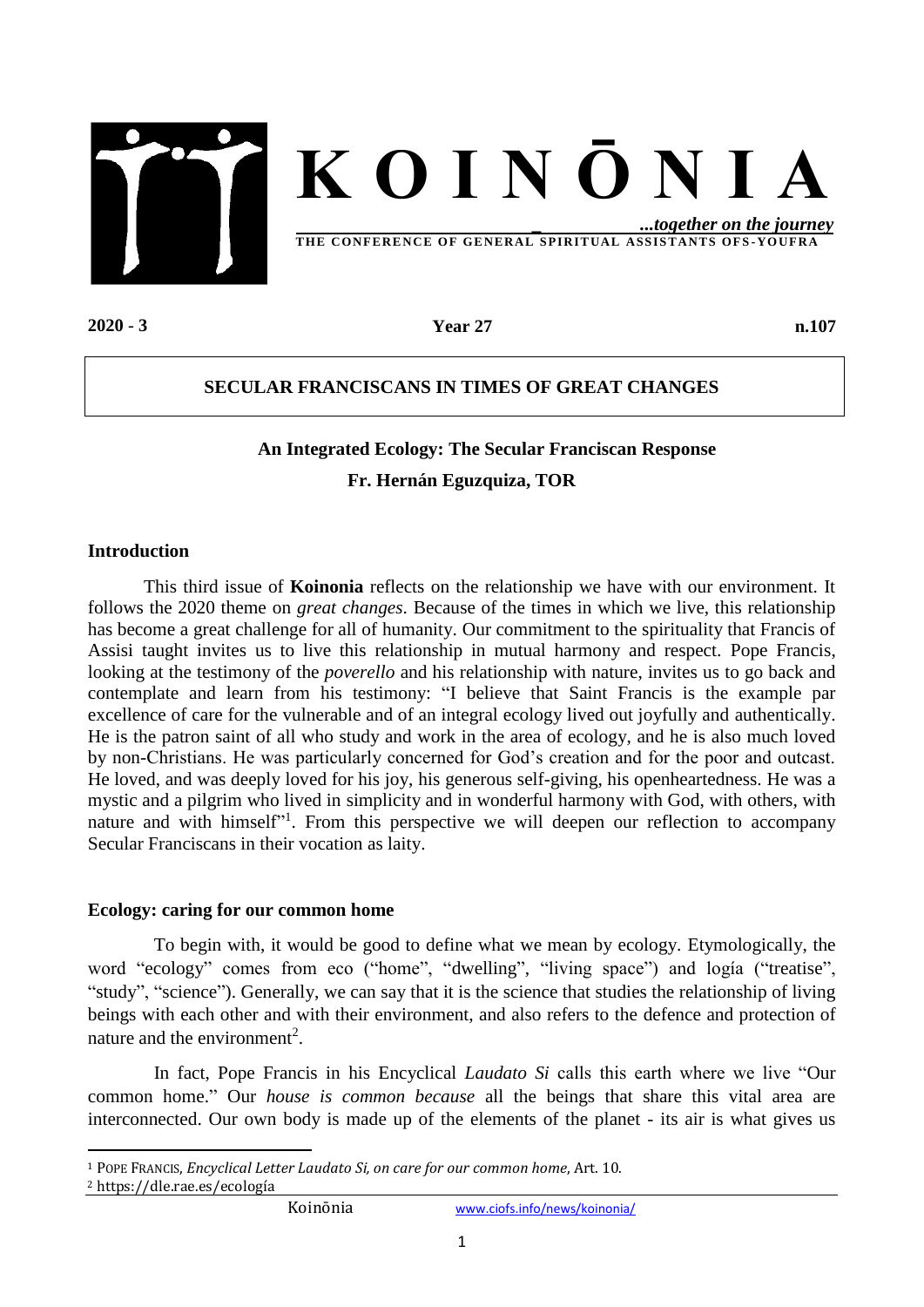



**THE CONFERE NCE OF GE NERAL S PIR ITUAL ASS IS TANTS OF S -YOUF RA**

**2020** - **3 Year 27 n.107**

### **SECULAR FRANCISCANS IN TIMES OF GREAT CHANGES**

# **An Integrated Ecology: The Secular Franciscan Response Fr. Hernán Eguzquiza, TOR**

#### **Introduction**

This third issue of **Koinonia** reflects on the relationship we have with our environment. It follows the 2020 theme on *great changes*. Because of the times in which we live, this relationship has become a great challenge for all of humanity. Our commitment to the spirituality that Francis of Assisi taught invites us to live this relationship in mutual harmony and respect. Pope Francis, looking at the testimony of the *poverello* and his relationship with nature, invites us to go back and contemplate and learn from his testimony: "I believe that Saint Francis is the example par excellence of care for the vulnerable and of an integral ecology lived out joyfully and authentically. He is the patron saint of all who study and work in the area of ecology, and he is also much loved by non-Christians. He was particularly concerned for God's creation and for the poor and outcast. He loved, and was deeply loved for his joy, his generous self-giving, his openheartedness. He was a mystic and a pilgrim who lived in simplicity and in wonderful harmony with God, with others, with nature and with himself"<sup>1</sup>. From this perspective we will deepen our reflection to accompany Secular Franciscans in their vocation as laity.

#### **Ecology: caring for our common home**

To begin with, it would be good to define what we mean by ecology. Etymologically, the word "ecology" comes from eco ("home", "dwelling", "living space") and logía ("treatise", "study", "science"). Generally, we can say that it is the science that studies the relationship of living beings with each other and with their environment, and also refers to the defence and protection of nature and the environment<sup>2</sup>.

In fact, Pope Francis in his Encyclical *Laudato Si* calls this earth where we live "Our common home." Our *house is common because* all the beings that share this vital area are interconnected. Our own body is made up of the elements of the planet - its air is what gives us

<sup>2</sup> https://dle.rae.es/ecología

1

<sup>1</sup> POPE FRANCIS, *Encyclical Letter Laudato Si, on care for our common home*, Art. 10.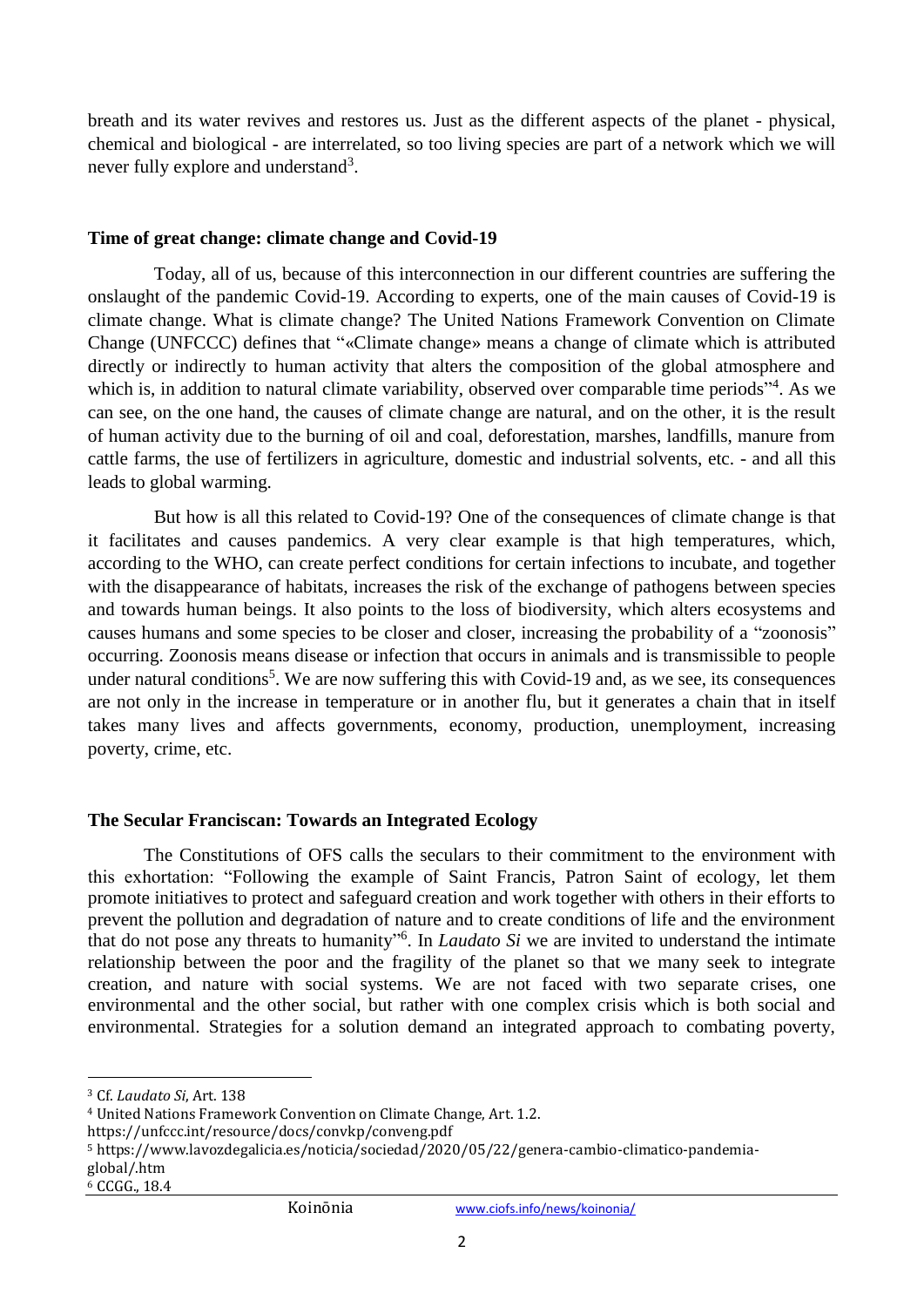breath and its water revives and restores us. Just as the different aspects of the planet - physical, chemical and biological - are interrelated, so too living species are part of a network which we will never fully explore and understand<sup>3</sup>.

## **Time of great change: climate change and Covid-19**

Today, all of us, because of this interconnection in our different countries are suffering the onslaught of the pandemic Covid-19. According to experts, one of the main causes of Covid-19 is climate change. What is climate change? The United Nations Framework Convention on Climate Change (UNFCCC) defines that "«Climate change» means a change of climate which is attributed directly or indirectly to human activity that alters the composition of the global atmosphere and which is, in addition to natural climate variability, observed over comparable time periods"<sup>4</sup>. As we can see, on the one hand, the causes of climate change are natural, and on the other, it is the result of human activity due to the burning of oil and coal, deforestation, marshes, landfills, manure from cattle farms, the use of fertilizers in agriculture, domestic and industrial solvents, etc. - and all this leads to global warming.

But how is all this related to Covid-19? One of the consequences of climate change is that it facilitates and causes pandemics. A very clear example is that high temperatures, which, according to the WHO, can create perfect conditions for certain infections to incubate, and together with the disappearance of habitats, increases the risk of the exchange of pathogens between species and towards human beings. It also points to the loss of biodiversity, which alters ecosystems and causes humans and some species to be closer and closer, increasing the probability of a "zoonosis" occurring. Zoonosis means disease or infection that occurs in animals and is transmissible to people under natural conditions<sup>5</sup>. We are now suffering this with Covid-19 and, as we see, its consequences are not only in the increase in temperature or in another flu, but it generates a chain that in itself takes many lives and affects governments, economy, production, unemployment, increasing poverty, crime, etc.

## **The Secular Franciscan: Towards an Integrated Ecology**

The Constitutions of OFS calls the seculars to their commitment to the environment with this exhortation: "Following the example of Saint Francis, Patron Saint of ecology, let them promote initiatives to protect and safeguard creation and work together with others in their efforts to prevent the pollution and degradation of nature and to create conditions of life and the environment that do not pose any threats to humanity" 6 . In *Laudato Si* we are invited to understand the intimate relationship between the poor and the fragility of the planet so that we many seek to integrate creation, and nature with social systems. We are not faced with two separate crises, one environmental and the other social, but rather with one complex crisis which is both social and environmental. Strategies for a solution demand an integrated approach to combating poverty,

https://unfccc.int/resource/docs/convkp/conveng.pdf

 $\overline{a}$ 

<sup>3</sup> Cf. *Laudato Si*, Art. 138

<sup>4</sup> United Nations Framework Convention on Climate Change, Art. 1.2.

<sup>5</sup> https://www.lavozdegalicia.es/noticia/sociedad/2020/05/22/genera-cambio-climatico-pandemiaglobal/.htm

<sup>6</sup> CCGG., 18.4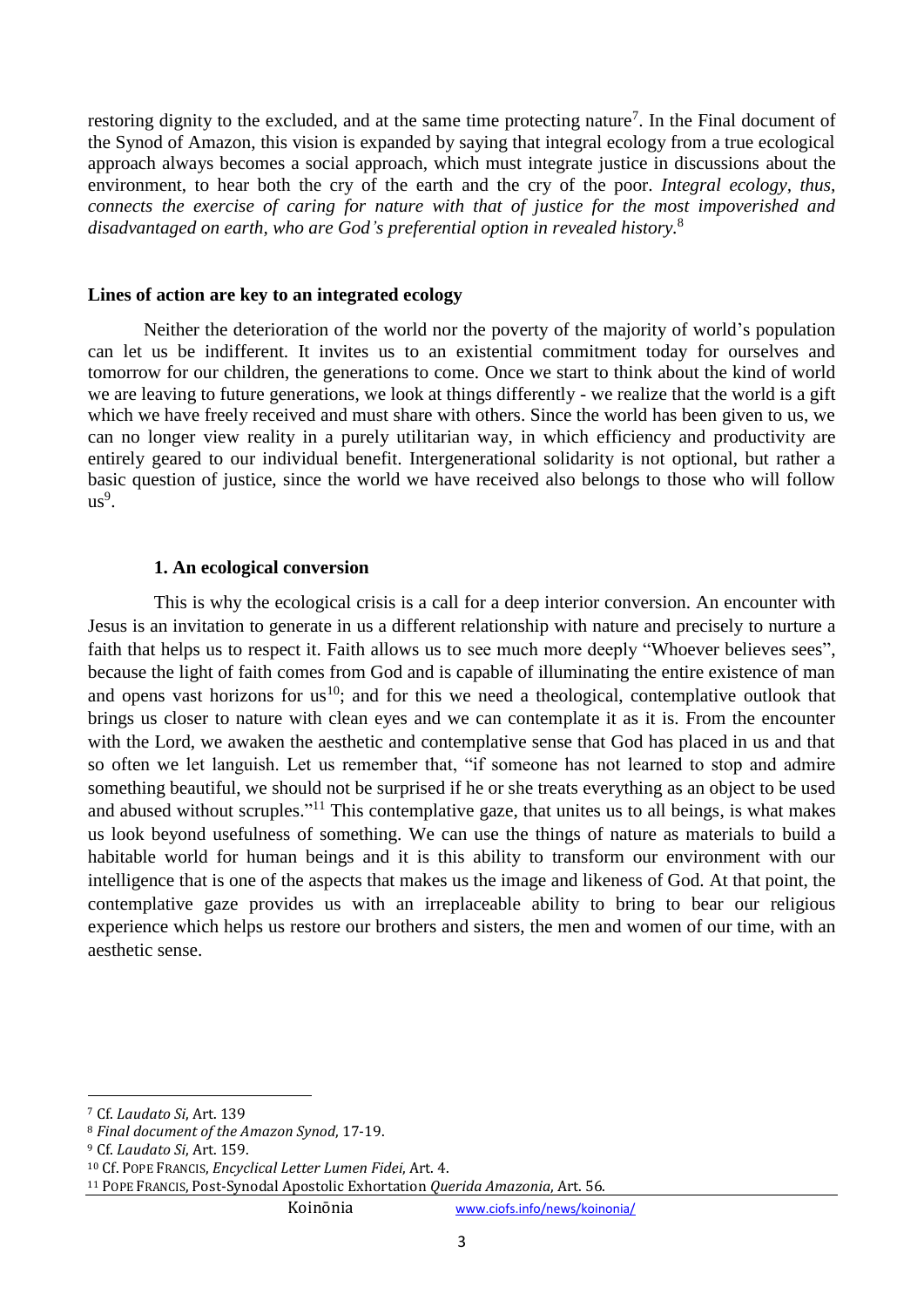restoring dignity to the excluded, and at the same time protecting nature<sup>7</sup>. In the Final document of the Synod of Amazon, this vision is expanded by saying that integral ecology from a true ecological approach always becomes a social approach, which must integrate justice in discussions about the environment, to hear both the cry of the earth and the cry of the poor. *Integral ecology, thus, connects the exercise of caring for nature with that of justice for the most impoverished and disadvantaged on earth, who are God's preferential option in revealed history.* 8

#### **Lines of action are key to an integrated ecology**

Neither the deterioration of the world nor the poverty of the majority of world's population can let us be indifferent. It invites us to an existential commitment today for ourselves and tomorrow for our children, the generations to come. Once we start to think about the kind of world we are leaving to future generations, we look at things differently - we realize that the world is a gift which we have freely received and must share with others. Since the world has been given to us, we can no longer view reality in a purely utilitarian way, in which efficiency and productivity are entirely geared to our individual benefit. Intergenerational solidarity is not optional, but rather a basic question of justice, since the world we have received also belongs to those who will follow  $us^9$ .

#### **1. An ecological conversion**

This is why the ecological crisis is a call for a deep interior conversion. An encounter with Jesus is an invitation to generate in us a different relationship with nature and precisely to nurture a faith that helps us to respect it. Faith allows us to see much more deeply "Whoever believes sees", because the light of faith comes from God and is capable of illuminating the entire existence of man and opens vast horizons for  $us^{10}$ ; and for this we need a theological, contemplative outlook that brings us closer to nature with clean eyes and we can contemplate it as it is. From the encounter with the Lord, we awaken the aesthetic and contemplative sense that God has placed in us and that so often we let languish. Let us remember that, "if someone has not learned to stop and admire something beautiful, we should not be surprised if he or she treats everything as an object to be used and abused without scruples."<sup>11</sup> This contemplative gaze, that unites us to all beings, is what makes us look beyond usefulness of something. We can use the things of nature as materials to build a habitable world for human beings and it is this ability to transform our environment with our intelligence that is one of the aspects that makes us the image and likeness of God. At that point, the contemplative gaze provides us with an irreplaceable ability to bring to bear our religious experience which helps us restore our brothers and sisters, the men and women of our time, with an aesthetic sense.

 $\overline{a}$ 

Koinōnia [www.ciofs.info/news/koinonia/](http://www.ciofs.info/news/koinonia/)

<sup>7</sup> Cf. *Laudato Si*, Art. 139

<sup>8</sup> *Final document of the Amazon Synod*, 17-19.

<sup>9</sup> Cf. *Laudato Si*, Art. 159.

<sup>10</sup> Cf. POPE FRANCIS, *Encyclical Letter Lumen Fidei*, Art. 4.

<sup>11</sup> POPE FRANCIS, Post-Synodal Apostolic Exhortation *Querida Amazonia*, Art. 56.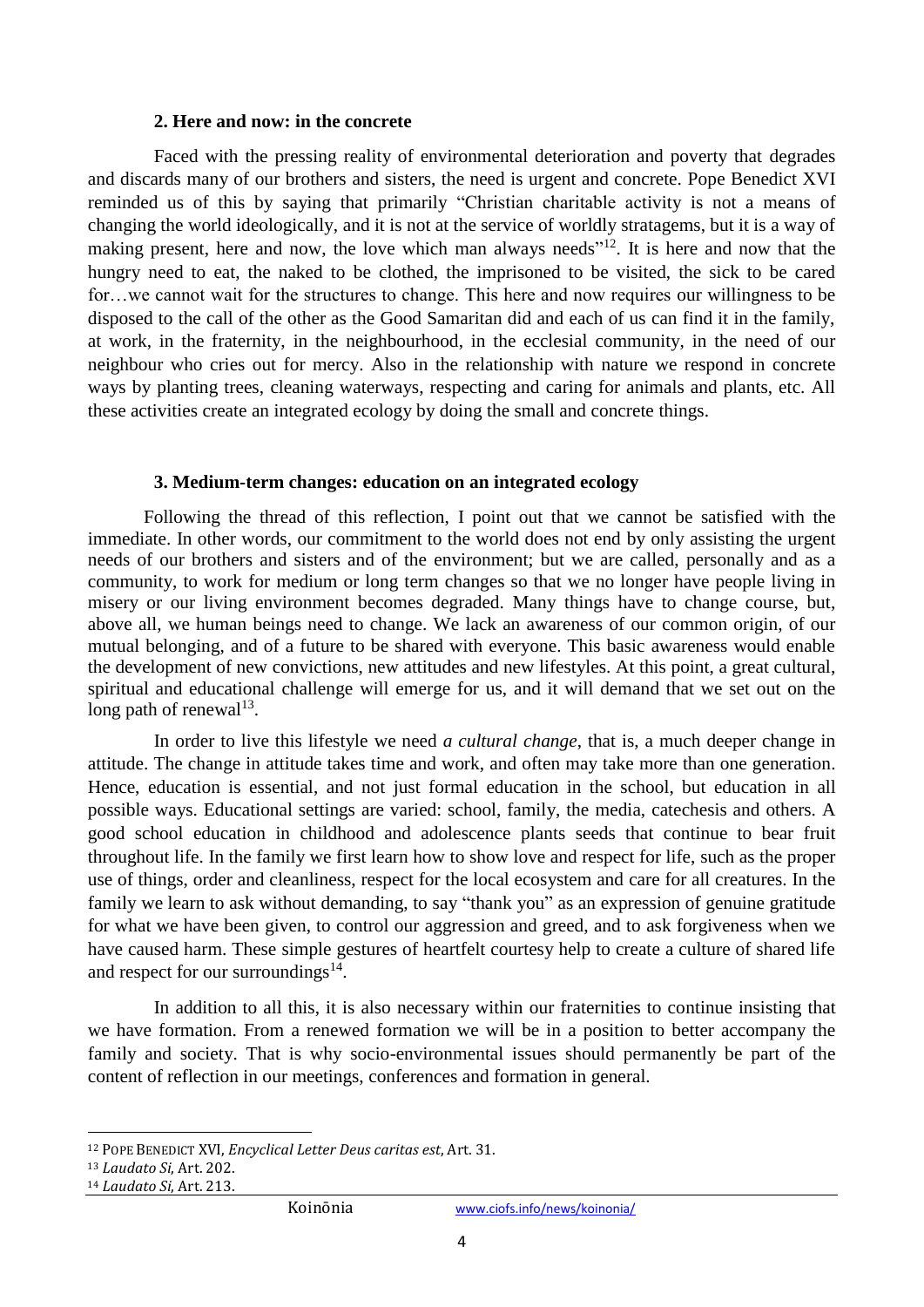#### **2. Here and now: in the concrete**

Faced with the pressing reality of environmental deterioration and poverty that degrades and discards many of our brothers and sisters, the need is urgent and concrete. Pope Benedict XVI reminded us of this by saying that primarily "Christian charitable activity is not a means of changing the world ideologically, and it is not at the service of worldly stratagems, but it is a way of making present, here and now, the love which man always needs"<sup>12</sup>. It is here and now that the hungry need to eat, the naked to be clothed, the imprisoned to be visited, the sick to be cared for…we cannot wait for the structures to change. This here and now requires our willingness to be disposed to the call of the other as the Good Samaritan did and each of us can find it in the family, at work, in the fraternity, in the neighbourhood, in the ecclesial community, in the need of our neighbour who cries out for mercy. Also in the relationship with nature we respond in concrete ways by planting trees, cleaning waterways, respecting and caring for animals and plants, etc. All these activities create an integrated ecology by doing the small and concrete things.

#### **3. Medium-term changes: education on an integrated ecology**

Following the thread of this reflection, I point out that we cannot be satisfied with the immediate. In other words, our commitment to the world does not end by only assisting the urgent needs of our brothers and sisters and of the environment; but we are called, personally and as a community, to work for medium or long term changes so that we no longer have people living in misery or our living environment becomes degraded. Many things have to change course, but, above all, we human beings need to change. We lack an awareness of our common origin, of our mutual belonging, and of a future to be shared with everyone. This basic awareness would enable the development of new convictions, new attitudes and new lifestyles. At this point, a great cultural, spiritual and educational challenge will emerge for us, and it will demand that we set out on the long path of renewal $13$ .

In order to live this lifestyle we need *a cultural change*, that is, a much deeper change in attitude. The change in attitude takes time and work, and often may take more than one generation. Hence, education is essential, and not just formal education in the school, but education in all possible ways. Educational settings are varied: school, family, the media, catechesis and others. A good school education in childhood and adolescence plants seeds that continue to bear fruit throughout life. In the family we first learn how to show love and respect for life, such as the proper use of things, order and cleanliness, respect for the local ecosystem and care for all creatures. In the family we learn to ask without demanding, to say "thank you" as an expression of genuine gratitude for what we have been given, to control our aggression and greed, and to ask forgiveness when we have caused harm. These simple gestures of heartfelt courtesy help to create a culture of shared life and respect for our surroundings $^{14}$ .

In addition to all this, it is also necessary within our fraternities to continue insisting that we have formation. From a renewed formation we will be in a position to better accompany the family and society. That is why socio-environmental issues should permanently be part of the content of reflection in our meetings, conferences and formation in general.

1

<sup>12</sup> POPE BENEDICT XVI, *Encyclical Letter Deus caritas est*, Art. 31.

<sup>13</sup> *Laudato Si*, Art. 202.

<sup>14</sup> *Laudato Si*, Art. 213.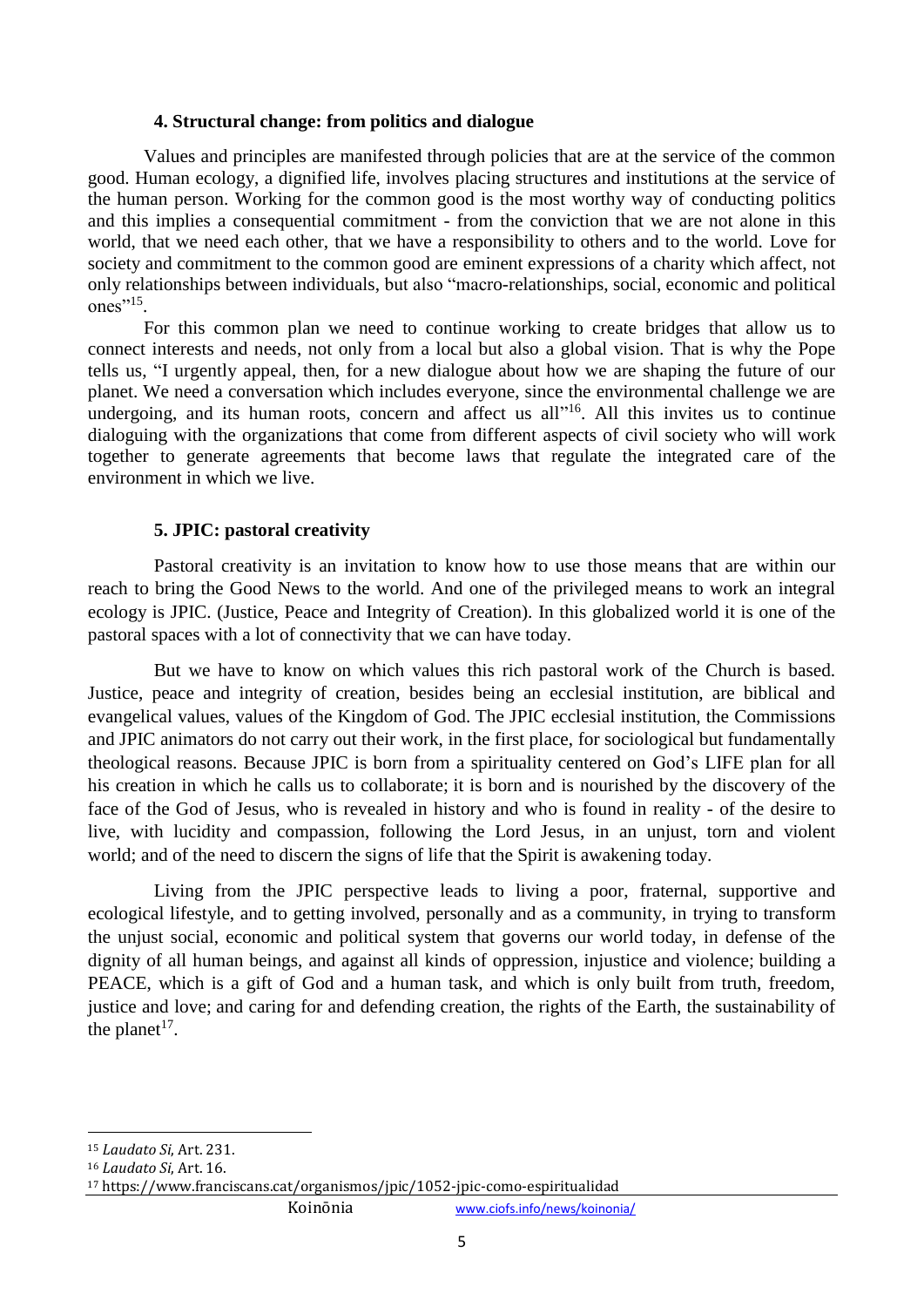#### **4. Structural change: from politics and dialogue**

Values and principles are manifested through policies that are at the service of the common good. Human ecology, a dignified life, involves placing structures and institutions at the service of the human person. Working for the common good is the most worthy way of conducting politics and this implies a consequential commitment - from the conviction that we are not alone in this world, that we need each other, that we have a responsibility to others and to the world. Love for society and commitment to the common good are eminent expressions of a charity which affect, not only relationships between individuals, but also "macro-relationships, social, economic and political ones" $15$ .

For this common plan we need to continue working to create bridges that allow us to connect interests and needs, not only from a local but also a global vision. That is why the Pope tells us, "I urgently appeal, then, for a new dialogue about how we are shaping the future of our planet. We need a conversation which includes everyone, since the environmental challenge we are undergoing, and its human roots, concern and affect us all"<sup>16</sup>. All this invites us to continue dialoguing with the organizations that come from different aspects of civil society who will work together to generate agreements that become laws that regulate the integrated care of the environment in which we live.

#### **5. JPIC: pastoral creativity**

Pastoral creativity is an invitation to know how to use those means that are within our reach to bring the Good News to the world. And one of the privileged means to work an integral ecology is JPIC. (Justice, Peace and Integrity of Creation). In this globalized world it is one of the pastoral spaces with a lot of connectivity that we can have today.

But we have to know on which values this rich pastoral work of the Church is based. Justice, peace and integrity of creation, besides being an ecclesial institution, are biblical and evangelical values, values of the Kingdom of God. The JPIC ecclesial institution, the Commissions and JPIC animators do not carry out their work, in the first place, for sociological but fundamentally theological reasons. Because JPIC is born from a spirituality centered on God's LIFE plan for all his creation in which he calls us to collaborate; it is born and is nourished by the discovery of the face of the God of Jesus, who is revealed in history and who is found in reality - of the desire to live, with lucidity and compassion, following the Lord Jesus, in an unjust, torn and violent world; and of the need to discern the signs of life that the Spirit is awakening today.

Living from the JPIC perspective leads to living a poor, fraternal, supportive and ecological lifestyle, and to getting involved, personally and as a community, in trying to transform the unjust social, economic and political system that governs our world today, in defense of the dignity of all human beings, and against all kinds of oppression, injustice and violence; building a PEACE, which is a gift of God and a human task, and which is only built from truth, freedom, justice and love; and caring for and defending creation, the rights of the Earth, the sustainability of the planet<sup>17</sup>.

<sup>1</sup> <sup>15</sup> *Laudato Si*, Art. 231.

<sup>16</sup> *Laudato Si*, Art. 16.

<sup>17</sup> https://www.franciscans.cat/organismos/jpic/1052-jpic-como-espiritualidad